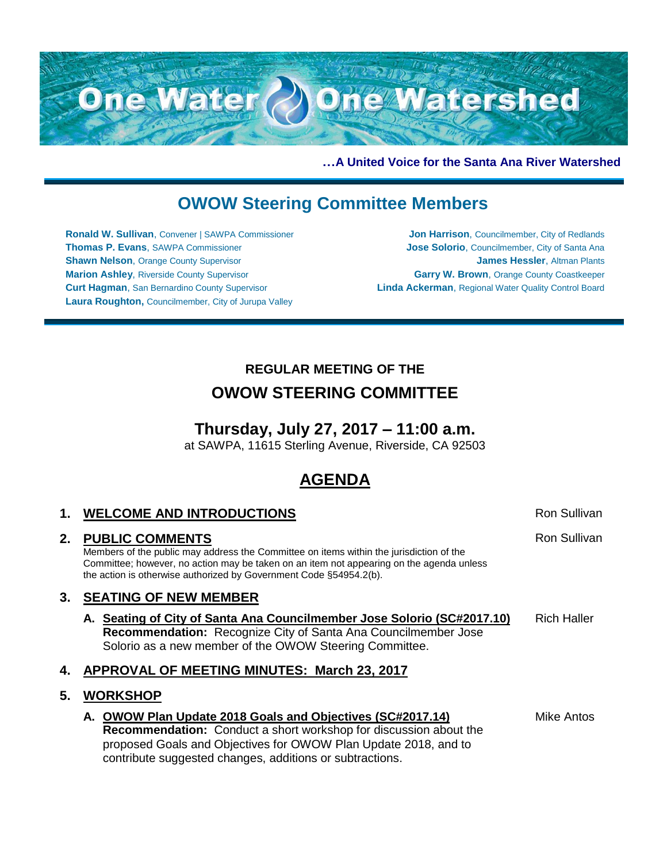

**…A United Voice for the Santa Ana River Watershed**

# **OWOW Steering Committee Members**

**Ronald W. Sullivan**, Convener | SAWPA Commissioner **Thomas P. Evans**, SAWPA Commissioner **Shawn Nelson, Orange County Supervisor Marion Ashley**, Riverside County Supervisor **Curt Hagman**, San Bernardino County Supervisor **Laura Roughton,** Councilmember, City of Jurupa Valley

**Jon Harrison**, Councilmember, City of Redlands **Jose Solorio**, Councilmember, City of Santa Ana **James Hessler**, Altman Plants **Garry W. Brown**, Orange County Coastkeeper **Linda Ackerman**, Regional Water Quality Control Board

## **REGULAR MEETING OF THE**

## **OWOW STEERING COMMITTEE**

### **Thursday, July 27, 2017 – 11:00 a.m.**

at SAWPA, 11615 Sterling Avenue, Riverside, CA 92503

# **AGENDA**

| 1. | <b>WELCOME AND INTRODUCTIONS</b>                                                                                                                                                                                                                                                    | Ron Sullivan       |
|----|-------------------------------------------------------------------------------------------------------------------------------------------------------------------------------------------------------------------------------------------------------------------------------------|--------------------|
| 2. | <b>PUBLIC COMMENTS</b><br>Members of the public may address the Committee on items within the jurisdiction of the<br>Committee; however, no action may be taken on an item not appearing on the agenda unless<br>the action is otherwise authorized by Government Code §54954.2(b). | Ron Sullivan       |
| 3. | <b>SEATING OF NEW MEMBER</b>                                                                                                                                                                                                                                                        |                    |
|    | A. Seating of City of Santa Ana Councilmember Jose Solorio (SC#2017.10)<br><b>Recommendation:</b> Recognize City of Santa Ana Councilmember Jose<br>Solorio as a new member of the OWOW Steering Committee.                                                                         | <b>Rich Haller</b> |
| 4. | APPROVAL OF MEETING MINUTES: March 23, 2017                                                                                                                                                                                                                                         |                    |
| 5. | <b>WORKSHOP</b>                                                                                                                                                                                                                                                                     |                    |
|    | A. OWOW Plan Update 2018 Goals and Objectives (SC#2017.14)<br><b>Recommendation:</b> Conduct a short workshop for discussion about the<br>proposed Goals and Objectives for OWOW Plan Update 2018, and to                                                                           | Mike Antos         |

contribute suggested changes, additions or subtractions.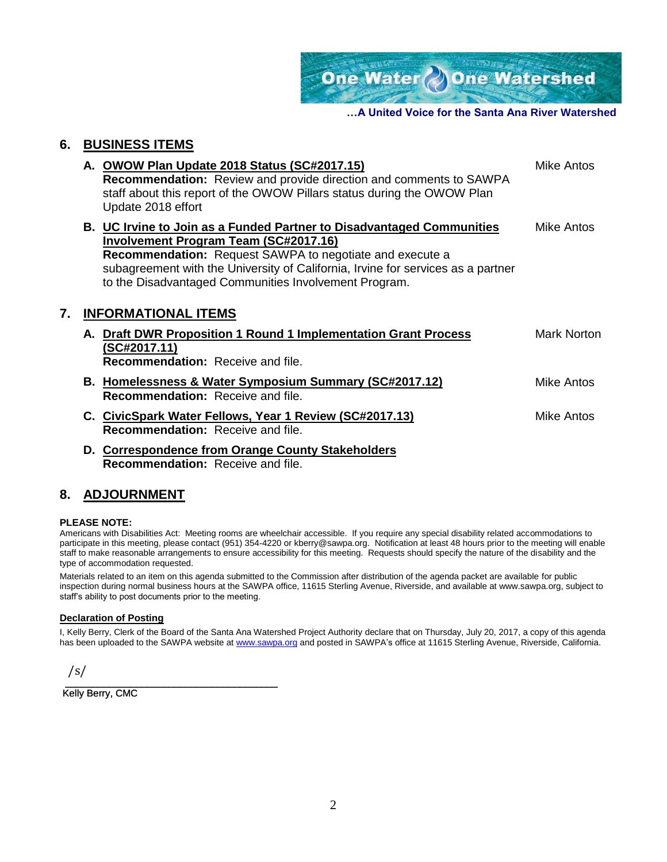One Water Done Watershed

**…A United Voice for the Santa Ana River Watershed**

### **6. BUSINESS ITEMS**

- **A. OWOW Plan Update 2018 Status (SC#2017.15) Recommendation:** Review and provide direction and comments to SAWPA staff about this report of the OWOW Pillars status during the OWOW Plan Update 2018 effort Mike Antos **B. UC Irvine to Join as a Funded Partner to Disadvantaged Communities Involvement Program Team (SC#2017.16) Recommendation:** Request SAWPA to negotiate and execute a subagreement with the University of California, Irvine for services as a partner to the Disadvantaged Communities Involvement Program. Mike Antos **7. INFORMATIONAL ITEMS A. Draft DWR Proposition 1 Round 1 Implementation Grant Process (SC#2017.11) Recommendation:** Receive and file. Mark Norton **B. Homelessness & Water Symposium Summary (SC#2017.12) Recommendation:** Receive and file. Mike Antos **C. CivicSpark Water Fellows, Year 1 Review (SC#2017.13) Recommendation:** Receive and file. Mike Antos **D. Correspondence from Orange County Stakeholders**
	- **Recommendation:** Receive and file.

### **8. ADJOURNMENT**

#### **PLEASE NOTE:**

Americans with Disabilities Act: Meeting rooms are wheelchair accessible. If you require any special disability related accommodations to participate in this meeting, please contact (951) 354-4220 or kberry@sawpa.org. Notification at least 48 hours prior to the meeting will enable staff to make reasonable arrangements to ensure accessibility for this meeting. Requests should specify the nature of the disability and the type of accommodation requested.

Materials related to an item on this agenda submitted to the Commission after distribution of the agenda packet are available for public inspection during normal business hours at the SAWPA office, 11615 Sterling Avenue, Riverside, and available at www.sawpa.org, subject to staff's ability to post documents prior to the meeting.

#### **Declaration of Posting**

I, Kelly Berry, Clerk of the Board of the Santa Ana Watershed Project Authority declare that on Thursday, July 20, 2017, a copy of this agenda has been uploaded to the SAWPA website at [www.sawpa.org](http://www.sawpa.org/) and posted in SAWPA's office at 11615 Sterling Avenue, Riverside, California.

/s/

\_\_\_\_\_\_\_\_\_\_\_\_\_\_\_\_\_\_\_\_\_\_\_\_\_\_\_\_\_\_\_\_\_\_\_\_\_\_\_ Kelly Berry, CMC